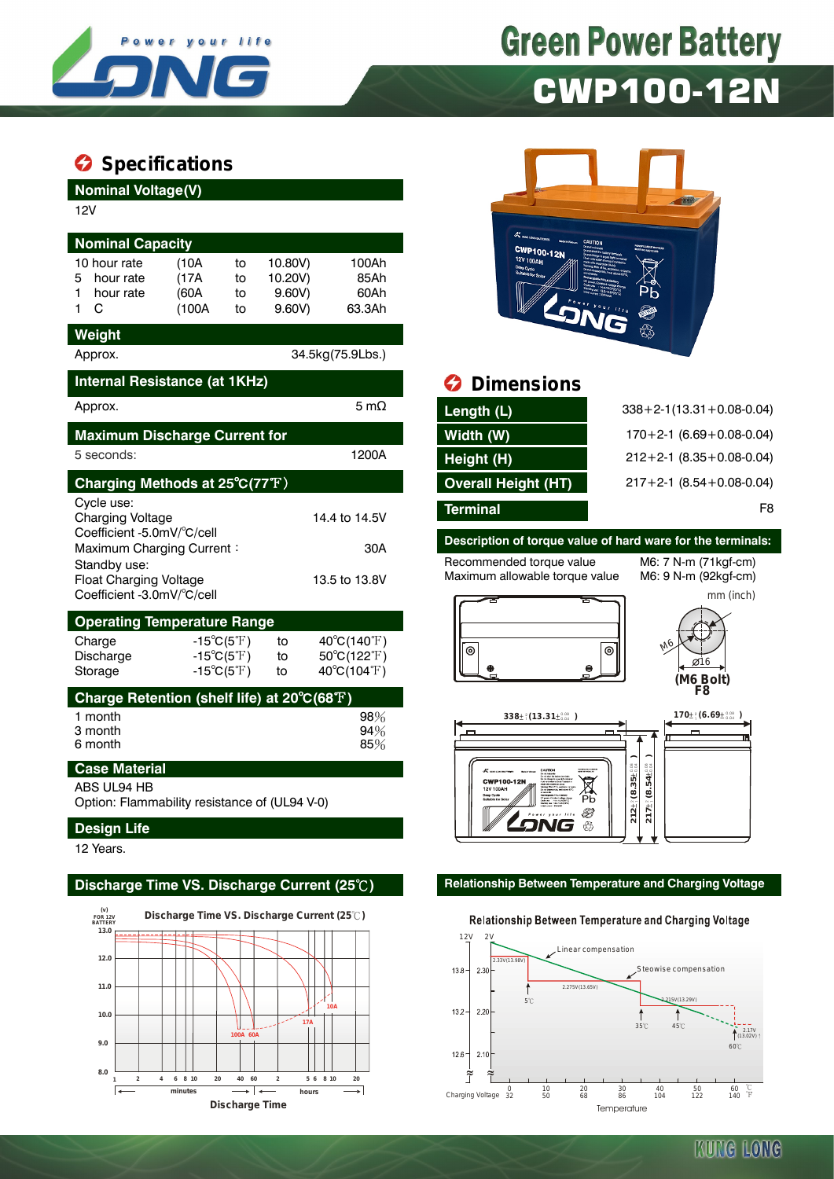

# **Green Power Battery** CWP100-12N

### $\bullet$  Specifications

| <b>Nominal Voltage(V)</b><br>12V<br><b>Nominal Capacity</b><br>10 hour rate<br>hour rate<br>5<br>hour rate<br>C<br>1. | (10A)<br>(17A)<br>(60A<br>(100A)                                                       | 10.80V)<br>to<br>10.20V)<br>to<br>$9.60V$ )<br>to<br>$9.60V$ )<br>to | 100Ah<br>85Ah<br>60Ah<br>63.3Ah                           |                 | <b>CWP100-12N</b><br>12V 100AH                              | <b>TEEN!</b>           |                                                            |
|-----------------------------------------------------------------------------------------------------------------------|----------------------------------------------------------------------------------------|----------------------------------------------------------------------|-----------------------------------------------------------|-----------------|-------------------------------------------------------------|------------------------|------------------------------------------------------------|
| Weight<br>Approx.                                                                                                     |                                                                                        |                                                                      | 34.5kg(75.9Lbs.)                                          |                 |                                                             |                        |                                                            |
| Internal Resistance (at 1KHz)                                                                                         |                                                                                        |                                                                      |                                                           | Ø               | <b>Dimensions</b>                                           |                        |                                                            |
| Approx.                                                                                                               |                                                                                        |                                                                      | 5 m $\Omega$                                              | Length (L)      |                                                             |                        | $338 + 2 - 1(13.31 + 0.08 - 0.04)$                         |
| <b>Maximum Discharge Current for</b>                                                                                  |                                                                                        |                                                                      |                                                           | Width (W)       |                                                             |                        | $170+2-1$ (6.69 + 0.08-0.04)                               |
| 5 seconds:                                                                                                            |                                                                                        |                                                                      | 1200A                                                     | Height (H)      |                                                             |                        | $212+2-1$ (8.35 + 0.08-0.04)                               |
| Charging Methods at 25°C(77°F)                                                                                        |                                                                                        |                                                                      |                                                           |                 | <b>Overall Height (HT)</b>                                  |                        | $217+2-1$ (8.54 + 0.08-0.04)                               |
| Cycle use:<br>Charging Voltage<br>Coefficient -5.0mV/°C/cell                                                          |                                                                                        |                                                                      | 14.4 to 14.5V                                             | <b>Terminal</b> | Description of torque value of hard ware for the terminals: |                        | F8                                                         |
| Maximum Charging Current:<br>Standby use:<br><b>Float Charging Voltage</b><br>Coefficient -3.0mV/°C/cell              |                                                                                        |                                                                      | 30A<br>13.5 to 13.8V                                      |                 | Recommended torque value<br>Maximum allowable torque value  |                        | M6: 7 N-m (71 kgf-cm)<br>M6: 9 N-m (92kgf-cm)<br>mm (inch) |
| <b>Operating Temperature Range</b>                                                                                    |                                                                                        |                                                                      |                                                           |                 |                                                             |                        |                                                            |
| Charge<br>Discharge<br>Storage                                                                                        | $-15^{\circ}C(5^{\circ}F)$<br>$-15^{\circ}C(5^{\circ}F)$<br>$-15^{\circ}C(5^{\circ}F)$ | to<br>to<br>to                                                       | $40^{\circ}C(140^{\circ}F)$<br>50°C(122°F)<br>40°C(104°F) | $^{\circ}$      | $\mathbf e$                                                 | 0                      | Ø16<br>(M6 Bolt)<br>F8                                     |
| Charge Retention (shelf life) at 20°C(68°F)                                                                           |                                                                                        |                                                                      |                                                           |                 |                                                             |                        |                                                            |
| 1 month<br>3 month<br>6 month                                                                                         |                                                                                        |                                                                      | 98%<br>94%<br>85%                                         |                 | $338\pm\frac{2}{1}(13.31\pm\frac{0.08}{0.04})$              |                        | $170 \pm ^{2}_{1} (6.69 \pm ^{0.08}_{0.04})$               |
| <b>Case Material</b>                                                                                                  |                                                                                        |                                                                      |                                                           |                 |                                                             | $\frac{3}{10}$<br>$+1$ |                                                            |

ABS UL94 HB

Option: Flammability resistance of (UL94 V-0)

### **Design Life**

12 Years.





## *<u>B* Dimensions</u>

| $338 + 2 - 1(13.31 + 0.08 - 0.04)$ |
|------------------------------------|
| $170+2-1$ (6.69 + 0.08-0.04)       |
| $212+2-1$ (8.35 + 0.08-0.04)       |
| $217+2-1$ (8.54 + 0.08-0.04)       |
| F8                                 |
|                                    |

# **Description of torque value of hard ware for the terminals:**





#### **Discharge Time VS. Discharge Current (25**℃**) Relationship Between Temperature and Charging Voltage**

#### Relationship Between Temperature and Charging Voltage